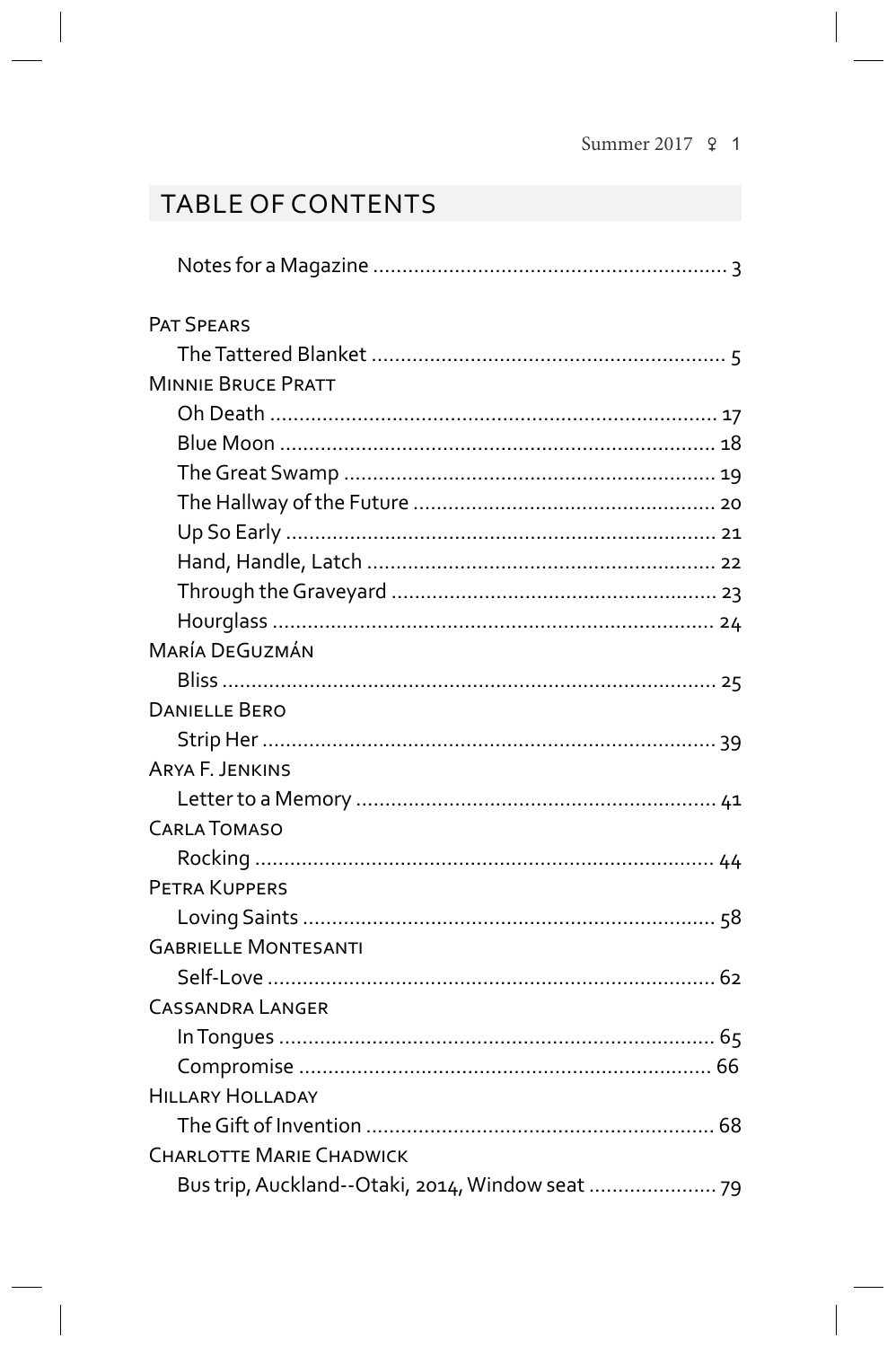## **TABLE OF CONTENTS**

| <b>PAT SPEARS</b>               |  |
|---------------------------------|--|
|                                 |  |
| <b>MINNIE BRUCE PRATT</b>       |  |
|                                 |  |
|                                 |  |
|                                 |  |
|                                 |  |
|                                 |  |
|                                 |  |
|                                 |  |
|                                 |  |
| <b>MARÍA DEGUZMÁN</b>           |  |
|                                 |  |
| <b>DANIELLE BERO</b>            |  |
|                                 |  |
| <b>ARYA F. JENKINS</b>          |  |
|                                 |  |
| <b>CARLA TOMASO</b>             |  |
|                                 |  |
| PETRA KUPPERS                   |  |
|                                 |  |
| <b>GABRIELLE MONTESANTI</b>     |  |
|                                 |  |
| <b>CASSANDRA LANGER</b>         |  |
|                                 |  |
|                                 |  |
| <b>HILLARY HOLLADAY</b>         |  |
|                                 |  |
| <b>CHARLOTTE MARIE CHADWICK</b> |  |
|                                 |  |
|                                 |  |